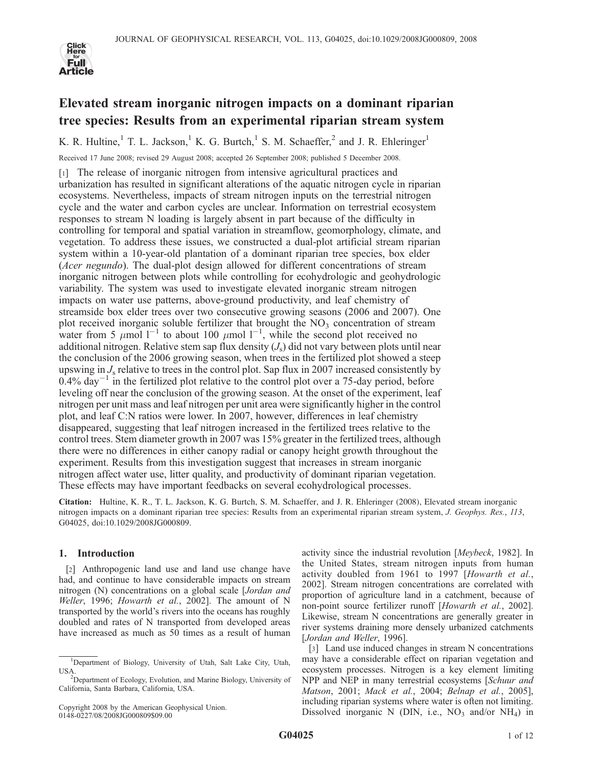

# Elevated stream inorganic nitrogen impacts on a dominant riparian tree species: Results from an experimental riparian stream system

K. R. Hultine,<sup>1</sup> T. L. Jackson,<sup>1</sup> K. G. Burtch,<sup>1</sup> S. M. Schaeffer,<sup>2</sup> and J. R. Ehleringer<sup>1</sup>

Received 17 June 2008; revised 29 August 2008; accepted 26 September 2008; published 5 December 2008.

[1] The release of inorganic nitrogen from intensive agricultural practices and urbanization has resulted in significant alterations of the aquatic nitrogen cycle in riparian ecosystems. Nevertheless, impacts of stream nitrogen inputs on the terrestrial nitrogen cycle and the water and carbon cycles are unclear. Information on terrestrial ecosystem responses to stream N loading is largely absent in part because of the difficulty in controlling for temporal and spatial variation in streamflow, geomorphology, climate, and vegetation. To address these issues, we constructed a dual-plot artificial stream riparian system within a 10-year-old plantation of a dominant riparian tree species, box elder (Acer negundo). The dual-plot design allowed for different concentrations of stream inorganic nitrogen between plots while controlling for ecohydrologic and geohydrologic variability. The system was used to investigate elevated inorganic stream nitrogen impacts on water use patterns, above-ground productivity, and leaf chemistry of streamside box elder trees over two consecutive growing seasons (2006 and 2007). One plot received inorganic soluble fertilizer that brought the  $NO<sub>3</sub>$  concentration of stream water from 5  $\mu$ mol 1<sup>-1</sup> to about 100  $\mu$ mol 1<sup>-1</sup>, while the second plot received no additional nitrogen. Relative stem sap flux density  $(J<sub>s</sub>)$  did not vary between plots until near the conclusion of the 2006 growing season, when trees in the fertilized plot showed a steep upswing in  $J_s$  relative to trees in the control plot. Sap flux in 2007 increased consistently by  $0.4\%$  day<sup>-1</sup> in the fertilized plot relative to the control plot over a 75-day period, before leveling off near the conclusion of the growing season. At the onset of the experiment, leaf nitrogen per unit mass and leaf nitrogen per unit area were significantly higher in the control plot, and leaf C:N ratios were lower. In 2007, however, differences in leaf chemistry disappeared, suggesting that leaf nitrogen increased in the fertilized trees relative to the control trees. Stem diameter growth in 2007 was 15% greater in the fertilized trees, although there were no differences in either canopy radial or canopy height growth throughout the experiment. Results from this investigation suggest that increases in stream inorganic nitrogen affect water use, litter quality, and productivity of dominant riparian vegetation. These effects may have important feedbacks on several ecohydrological processes.

Citation: Hultine, K. R., T. L. Jackson, K. G. Burtch, S. M. Schaeffer, and J. R. Ehleringer (2008), Elevated stream inorganic nitrogen impacts on a dominant riparian tree species: Results from an experimental riparian stream system, J. Geophys. Res., 113, G04025, doi:10.1029/2008JG000809.

# 1. Introduction

[2] Anthropogenic land use and land use change have had, and continue to have considerable impacts on stream nitrogen (N) concentrations on a global scale [Jordan and Weller, 1996; Howarth et al., 2002]. The amount of N transported by the world's rivers into the oceans has roughly doubled and rates of N transported from developed areas have increased as much as 50 times as a result of human

activity since the industrial revolution [Meybeck, 1982]. In the United States, stream nitrogen inputs from human activity doubled from 1961 to 1997 [Howarth et al., 2002]. Stream nitrogen concentrations are correlated with proportion of agriculture land in a catchment, because of non-point source fertilizer runoff [Howarth et al., 2002]. Likewise, stream N concentrations are generally greater in river systems draining more densely urbanized catchments [Jordan and Weller, 1996].

[3] Land use induced changes in stream N concentrations may have a considerable effect on riparian vegetation and ecosystem processes. Nitrogen is a key element limiting NPP and NEP in many terrestrial ecosystems [Schuur and Matson, 2001; Mack et al., 2004; Belnap et al., 2005], including riparian systems where water is often not limiting. Dissolved inorganic N (DIN, i.e.,  $NO<sub>3</sub>$  and/or  $NH<sub>4</sub>$ ) in

<sup>&</sup>lt;sup>1</sup>Department of Biology, University of Utah, Salt Lake City, Utah, USA.

<sup>&</sup>lt;sup>2</sup>Department of Ecology, Evolution, and Marine Biology, University of California, Santa Barbara, California, USA.

Copyright 2008 by the American Geophysical Union. 0148-0227/08/2008JG000809\$09.00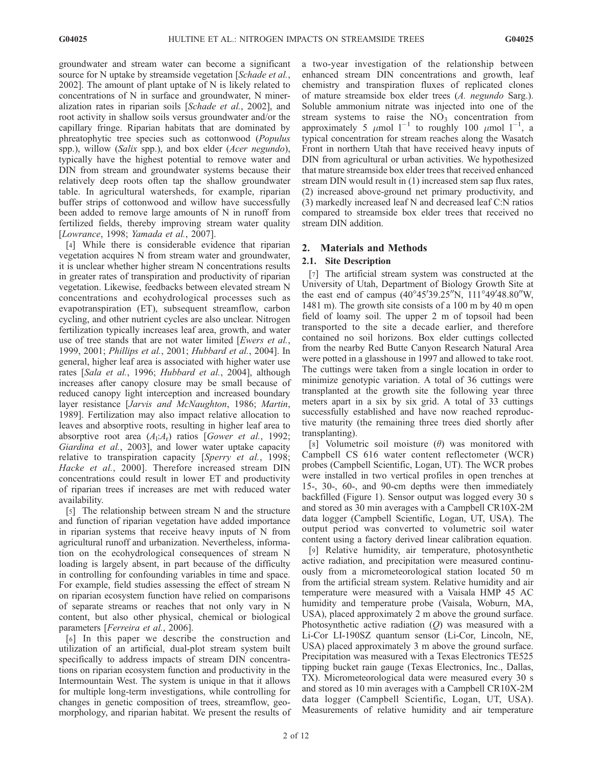groundwater and stream water can become a significant source for N uptake by streamside vegetation [Schade et al., 2002]. The amount of plant uptake of N is likely related to concentrations of N in surface and groundwater, N mineralization rates in riparian soils [Schade et al., 2002], and root activity in shallow soils versus groundwater and/or the capillary fringe. Riparian habitats that are dominated by phreatophytic tree species such as cottonwood (Populus spp.), willow (Salix spp.), and box elder (Acer negundo), typically have the highest potential to remove water and DIN from stream and groundwater systems because their relatively deep roots often tap the shallow groundwater table. In agricultural watersheds, for example, riparian buffer strips of cottonwood and willow have successfully been added to remove large amounts of N in runoff from fertilized fields, thereby improving stream water quality [Lowrance, 1998; Yamada et al., 2007].

[4] While there is considerable evidence that riparian vegetation acquires N from stream water and groundwater, it is unclear whether higher stream N concentrations results in greater rates of transpiration and productivity of riparian vegetation. Likewise, feedbacks between elevated stream N concentrations and ecohydrological processes such as evapotranspiration (ET), subsequent streamflow, carbon cycling, and other nutrient cycles are also unclear. Nitrogen fertilization typically increases leaf area, growth, and water use of tree stands that are not water limited [Ewers et al., 1999, 2001; Phillips et al., 2001; Hubbard et al., 2004]. In general, higher leaf area is associated with higher water use rates [Sala et al., 1996; Hubbard et al., 2004], although increases after canopy closure may be small because of reduced canopy light interception and increased boundary layer resistance [Jarvis and McNaughton, 1986; Martin, 1989]. Fertilization may also impact relative allocation to leaves and absorptive roots, resulting in higher leaf area to absorptive root area  $(A_1:A_r)$  ratios [Gower et al., 1992; Giardina et al., 2003], and lower water uptake capacity relative to transpiration capacity [Sperry et al., 1998; Hacke et al., 2000]. Therefore increased stream DIN concentrations could result in lower ET and productivity of riparian trees if increases are met with reduced water availability.

[5] The relationship between stream N and the structure and function of riparian vegetation have added importance in riparian systems that receive heavy inputs of N from agricultural runoff and urbanization. Nevertheless, information on the ecohydrological consequences of stream N loading is largely absent, in part because of the difficulty in controlling for confounding variables in time and space. For example, field studies assessing the effect of stream N on riparian ecosystem function have relied on comparisons of separate streams or reaches that not only vary in N content, but also other physical, chemical or biological parameters [Ferreira et al., 2006].

[6] In this paper we describe the construction and utilization of an artificial, dual-plot stream system built specifically to address impacts of stream DIN concentrations on riparian ecosystem function and productivity in the Intermountain West. The system is unique in that it allows for multiple long-term investigations, while controlling for changes in genetic composition of trees, streamflow, geomorphology, and riparian habitat. We present the results of a two-year investigation of the relationship between enhanced stream DIN concentrations and growth, leaf chemistry and transpiration fluxes of replicated clones of mature streamside box elder trees (A. negundo Sarg.). Soluble ammonium nitrate was injected into one of the stream systems to raise the  $NO<sub>3</sub>$  concentration from approximately 5  $\mu$ mol 1<sup>-1</sup> to roughly 100  $\mu$ mol 1<sup>-1</sup>, a typical concentration for stream reaches along the Wasatch Front in northern Utah that have received heavy inputs of DIN from agricultural or urban activities. We hypothesized that mature streamside box elder trees that received enhanced stream DIN would result in (1) increased stem sap flux rates, (2) increased above-ground net primary productivity, and (3) markedly increased leaf N and decreased leaf C:N ratios compared to streamside box elder trees that received no stream DIN addition.

# 2. Materials and Methods

# 2.1. Site Description

[7] The artificial stream system was constructed at the University of Utah, Department of Biology Growth Site at the east end of campus  $(40^{\circ}45'39.25''N, 111^{\circ}49'48.80''W,$ 1481 m). The growth site consists of a 100 m by 40 m open field of loamy soil. The upper 2 m of topsoil had been transported to the site a decade earlier, and therefore contained no soil horizons. Box elder cuttings collected from the nearby Red Butte Canyon Research Natural Area were potted in a glasshouse in 1997 and allowed to take root. The cuttings were taken from a single location in order to minimize genotypic variation. A total of 36 cuttings were transplanted at the growth site the following year three meters apart in a six by six grid. A total of 33 cuttings successfully established and have now reached reproductive maturity (the remaining three trees died shortly after transplanting).

[8] Volumetric soil moisture  $(\theta)$  was monitored with Campbell CS 616 water content reflectometer (WCR) probes (Campbell Scientific, Logan, UT). The WCR probes were installed in two vertical profiles in open trenches at 15-, 30-, 60-, and 90-cm depths were then immediately backfilled (Figure 1). Sensor output was logged every 30 s and stored as 30 min averages with a Campbell CR10X-2M data logger (Campbell Scientific, Logan, UT, USA). The output period was converted to volumetric soil water content using a factory derived linear calibration equation.

[9] Relative humidity, air temperature, photosynthetic active radiation, and precipitation were measured continuously from a micrometeorological station located 50 m from the artificial stream system. Relative humidity and air temperature were measured with a Vaisala HMP 45 AC humidity and temperature probe (Vaisala, Woburn, MA, USA), placed approximately 2 m above the ground surface. Photosynthetic active radiation  $(Q)$  was measured with a Li-Cor LI-190SZ quantum sensor (Li-Cor, Lincoln, NE, USA) placed approximately 3 m above the ground surface. Precipitation was measured with a Texas Electronics TE525 tipping bucket rain gauge (Texas Electronics, Inc., Dallas, TX). Micrometeorological data were measured every 30 s and stored as 10 min averages with a Campbell CR10X-2M data logger (Campbell Scientific, Logan, UT, USA). Measurements of relative humidity and air temperature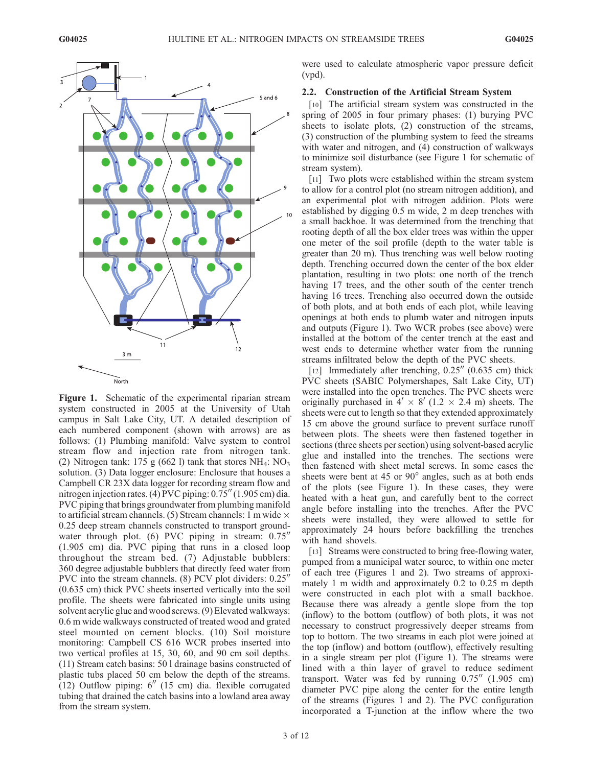

Figure 1. Schematic of the experimental riparian stream system constructed in 2005 at the University of Utah campus in Salt Lake City, UT. A detailed description of each numbered component (shown with arrows) are as follows: (1) Plumbing manifold: Valve system to control stream flow and injection rate from nitrogen tank. (2) Nitrogen tank: 175 g (662 l) tank that stores  $NH_4$ :  $NO_3$ solution. (3) Data logger enclosure: Enclosure that houses a Campbell CR 23X data logger for recording stream flow and nitrogen injection rates. (4) PVC piping: 0.75" (1.905 cm) dia. PVC piping that brings groundwater from plumbing manifold to artificial stream channels. (5) Stream channels: 1 m wide  $\times$ 0.25 deep stream channels constructed to transport groundwater through plot. (6) PVC piping in stream:  $0.75$ <sup>"</sup> (1.905 cm) dia. PVC piping that runs in a closed loop throughout the stream bed. (7) Adjustable bubblers: 360 degree adjustable bubblers that directly feed water from PVC into the stream channels. (8) PCV plot dividers:  $0.25$ <sup>n</sup> (0.635 cm) thick PVC sheets inserted vertically into the soil profile. The sheets were fabricated into single units using solvent acrylic glue and wood screws. (9) Elevated walkways: 0.6 m wide walkways constructed of treated wood and grated steel mounted on cement blocks. (10) Soil moisture monitoring: Campbell CS 616 WCR probes inserted into two vertical profiles at 15, 30, 60, and 90 cm soil depths. (11) Stream catch basins: 50 l drainage basins constructed of plastic tubs placed 50 cm below the depth of the streams.  $(12)$  Outflow piping:  $6''$  (15 cm) dia. flexible corrugated tubing that drained the catch basins into a lowland area away from the stream system.

were used to calculate atmospheric vapor pressure deficit (vpd).

#### 2.2. Construction of the Artificial Stream System

[10] The artificial stream system was constructed in the spring of 2005 in four primary phases: (1) burying PVC sheets to isolate plots, (2) construction of the streams, (3) construction of the plumbing system to feed the streams with water and nitrogen, and  $(4)$  construction of walkways to minimize soil disturbance (see Figure 1 for schematic of stream system).

[11] Two plots were established within the stream system to allow for a control plot (no stream nitrogen addition), and an experimental plot with nitrogen addition. Plots were established by digging 0.5 m wide, 2 m deep trenches with a small backhoe. It was determined from the trenching that rooting depth of all the box elder trees was within the upper one meter of the soil profile (depth to the water table is greater than 20 m). Thus trenching was well below rooting depth. Trenching occurred down the center of the box elder plantation, resulting in two plots: one north of the trench having 17 trees, and the other south of the center trench having 16 trees. Trenching also occurred down the outside of both plots, and at both ends of each plot, while leaving openings at both ends to plumb water and nitrogen inputs and outputs (Figure 1). Two WCR probes (see above) were installed at the bottom of the center trench at the east and west ends to determine whether water from the running streams infiltrated below the depth of the PVC sheets.

[12] Immediately after trenching,  $0.25''(0.635)$  cm) thick PVC sheets (SABIC Polymershapes, Salt Lake City, UT) were installed into the open trenches. The PVC sheets were originally purchased in  $4' \times 8'$  (1.2  $\times$  2.4 m) sheets. The sheets were cut to length so that they extended approximately 15 cm above the ground surface to prevent surface runoff between plots. The sheets were then fastened together in sections (three sheets per section) using solvent-based acrylic glue and installed into the trenches. The sections were then fastened with sheet metal screws. In some cases the sheets were bent at 45 or  $90^\circ$  angles, such as at both ends of the plots (see Figure 1). In these cases, they were heated with a heat gun, and carefully bent to the correct angle before installing into the trenches. After the PVC sheets were installed, they were allowed to settle for approximately 24 hours before backfilling the trenches with hand shovels.

[13] Streams were constructed to bring free-flowing water, pumped from a municipal water source, to within one meter of each tree (Figures 1 and 2). Two streams of approximately 1 m width and approximately 0.2 to 0.25 m depth were constructed in each plot with a small backhoe. Because there was already a gentle slope from the top (inflow) to the bottom (outflow) of both plots, it was not necessary to construct progressively deeper streams from top to bottom. The two streams in each plot were joined at the top (inflow) and bottom (outflow), effectively resulting in a single stream per plot (Figure 1). The streams were lined with a thin layer of gravel to reduce sediment transport. Water was fed by running  $0.75''$  (1.905 cm) diameter PVC pipe along the center for the entire length of the streams (Figures 1 and 2). The PVC configuration incorporated a T-junction at the inflow where the two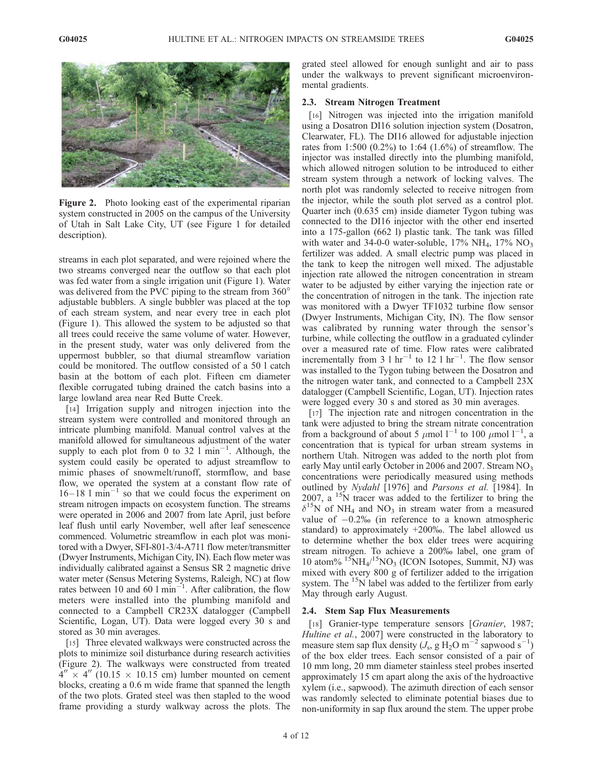

Figure 2. Photo looking east of the experimental riparian system constructed in 2005 on the campus of the University of Utah in Salt Lake City, UT (see Figure 1 for detailed description).

streams in each plot separated, and were rejoined where the two streams converged near the outflow so that each plot was fed water from a single irrigation unit (Figure 1). Water was delivered from the PVC piping to the stream from 360° adjustable bubblers. A single bubbler was placed at the top of each stream system, and near every tree in each plot (Figure 1). This allowed the system to be adjusted so that all trees could receive the same volume of water. However, in the present study, water was only delivered from the uppermost bubbler, so that diurnal streamflow variation could be monitored. The outflow consisted of a 50 l catch basin at the bottom of each plot. Fifteen cm diameter flexible corrugated tubing drained the catch basins into a large lowland area near Red Butte Creek.

[14] Irrigation supply and nitrogen injection into the stream system were controlled and monitored through an intricate plumbing manifold. Manual control valves at the manifold allowed for simultaneous adjustment of the water supply to each plot from 0 to 32  $1$  min<sup>-1</sup>. Although, the system could easily be operated to adjust streamflow to mimic phases of snowmelt/runoff, stormflow, and base flow, we operated the system at a constant flow rate of  $16-18$  l min<sup>-1</sup> so that we could focus the experiment on stream nitrogen impacts on ecosystem function. The streams were operated in 2006 and 2007 from late April, just before leaf flush until early November, well after leaf senescence commenced. Volumetric streamflow in each plot was monitored with a Dwyer, SFI-801-3/4-A711 flow meter/transmitter (Dwyer Instruments, Michigan City, IN). Each flow meter was individually calibrated against a Sensus SR 2 magnetic drive water meter (Sensus Metering Systems, Raleigh, NC) at flow rates between 10 and 60  $1$  min<sup>-1</sup>. After calibration, the flow meters were installed into the plumbing manifold and connected to a Campbell CR23X datalogger (Campbell Scientific, Logan, UT). Data were logged every 30 s and stored as 30 min averages.

[15] Three elevated walkways were constructed across the plots to minimize soil disturbance during research activities (Figure 2). The walkways were constructed from treated  $4'' \times 4''$  (10.15  $\times$  10.15 cm) lumber mounted on cement blocks, creating a 0.6 m wide frame that spanned the length of the two plots. Grated steel was then stapled to the wood frame providing a sturdy walkway across the plots. The

grated steel allowed for enough sunlight and air to pass under the walkways to prevent significant microenvironmental gradients.

## 2.3. Stream Nitrogen Treatment

[16] Nitrogen was injected into the irrigation manifold using a Dosatron DI16 solution injection system (Dosatron, Clearwater, FL). The DI16 allowed for adjustable injection rates from 1:500 (0.2%) to 1:64 (1.6%) of streamflow. The injector was installed directly into the plumbing manifold, which allowed nitrogen solution to be introduced to either stream system through a network of locking valves. The north plot was randomly selected to receive nitrogen from the injector, while the south plot served as a control plot. Quarter inch (0.635 cm) inside diameter Tygon tubing was connected to the DI16 injector with the other end inserted into a 175-gallon (662 l) plastic tank. The tank was filled with water and 34-0-0 water-soluble,  $17\% \text{ NH}_4$ ,  $17\% \text{ NO}_3$ fertilizer was added. A small electric pump was placed in the tank to keep the nitrogen well mixed. The adjustable injection rate allowed the nitrogen concentration in stream water to be adjusted by either varying the injection rate or the concentration of nitrogen in the tank. The injection rate was monitored with a Dwyer TF1032 turbine flow sensor (Dwyer Instruments, Michigan City, IN). The flow sensor was calibrated by running water through the sensor's turbine, while collecting the outflow in a graduated cylinder over a measured rate of time. Flow rates were calibrated incrementally from 3  $1 \text{ hr}^{-1}$  to 12  $1 \text{ hr}^{-1}$ . The flow sensor was installed to the Tygon tubing between the Dosatron and the nitrogen water tank, and connected to a Campbell 23X datalogger (Campbell Scientific, Logan, UT). Injection rates were logged every 30 s and stored as 30 min averages.

[17] The injection rate and nitrogen concentration in the tank were adjusted to bring the stream nitrate concentration from a background of about 5  $\mu$ mol l<sup>-1</sup> to 100  $\mu$ mol l<sup>-1</sup>, a concentration that is typical for urban stream systems in northern Utah. Nitrogen was added to the north plot from early May until early October in 2006 and 2007. Stream NO<sub>3</sub> concentrations were periodically measured using methods outlined by Nydahl [1976] and Parsons et al. [1984]. In 2007, a 15N tracer was added to the fertilizer to bring the  $\delta^{15}$ N of NH<sub>4</sub> and NO<sub>3</sub> in stream water from a measured value of  $-0.2\%$  (in reference to a known atmospheric standard) to approximately +200%. The label allowed us to determine whether the box elder trees were acquiring stream nitrogen. To achieve a 200% label, one gram of 10 atom% <sup>15</sup>NH<sub>4</sub>/<sup>15</sup>NO<sub>3</sub> (ICON Isotopes, Summit, NJ) was mixed with every 800 g of fertilizer added to the irrigation system. The  $15N$  label was added to the fertilizer from early May through early August.

## 2.4. Stem Sap Flux Measurements

[18] Granier-type temperature sensors [Granier, 1987; Hultine et al., 2007] were constructed in the laboratory to measure stem sap flux density  $(J_s, g H_2O m^{-2}$  sapwood s<sup>-1</sup>) of the box elder trees. Each sensor consisted of a pair of 10 mm long, 20 mm diameter stainless steel probes inserted approximately 15 cm apart along the axis of the hydroactive xylem (i.e., sapwood). The azimuth direction of each sensor was randomly selected to eliminate potential biases due to non-uniformity in sap flux around the stem. The upper probe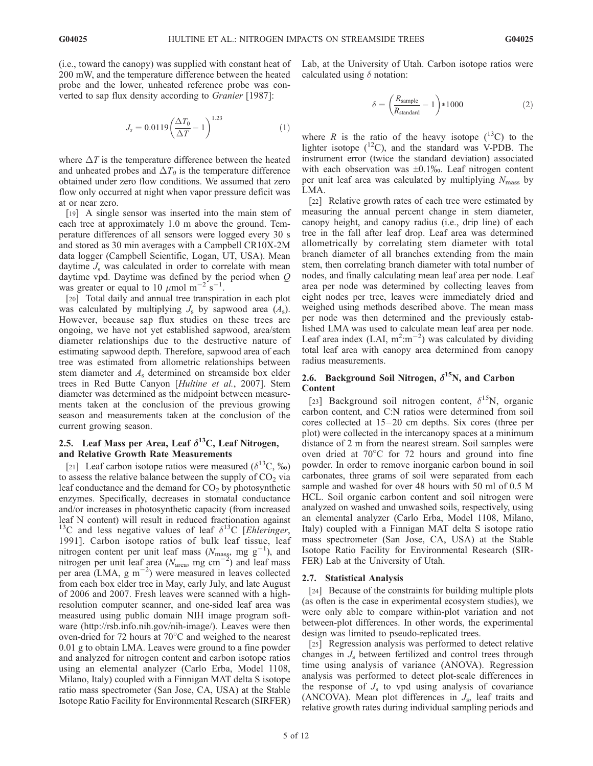(i.e., toward the canopy) was supplied with constant heat of 200 mW, and the temperature difference between the heated probe and the lower, unheated reference probe was converted to sap flux density according to Granier [1987]:

$$
J_s = 0.0119 \left( \frac{\Delta T_0}{\Delta T} - 1 \right)^{1.23} \tag{1}
$$

where  $\Delta T$  is the temperature difference between the heated and unheated probes and  $\Delta T_0$  is the temperature difference obtained under zero flow conditions. We assumed that zero flow only occurred at night when vapor pressure deficit was at or near zero.

[19] A single sensor was inserted into the main stem of each tree at approximately 1.0 m above the ground. Temperature differences of all sensors were logged every 30 s and stored as 30 min averages with a Campbell CR10X-2M data logger (Campbell Scientific, Logan, UT, USA). Mean daytime  $J_s$  was calculated in order to correlate with mean daytime vpd. Daytime was defined by the period when Q was greater or equal to 10  $\mu$ mol m<sup>-2'</sup>s<sup>-1</sup>.

[20] Total daily and annual tree transpiration in each plot was calculated by multiplying  $J_s$  by sapwood area  $(A_s)$ . However, because sap flux studies on these trees are ongoing, we have not yet established sapwood, area/stem diameter relationships due to the destructive nature of estimating sapwood depth. Therefore, sapwood area of each tree was estimated from allometric relationships between stem diameter and  $A_s$  determined on streamside box elder trees in Red Butte Canyon [Hultine et al., 2007]. Stem diameter was determined as the midpoint between measurements taken at the conclusion of the previous growing season and measurements taken at the conclusion of the current growing season.

# 2.5. Leaf Mass per Area, Leaf  $\delta^{13}$ C, Leaf Nitrogen, and Relative Growth Rate Measurements

[21] Leaf carbon isotope ratios were measured ( $\delta^{13}$ C, ‰) to assess the relative balance between the supply of  $CO<sub>2</sub>$  via leaf conductance and the demand for  $CO<sub>2</sub>$  by photosynthetic enzymes. Specifically, decreases in stomatal conductance and/or increases in photosynthetic capacity (from increased leaf N content) will result in reduced fractionation against <sup>13</sup>C and less negative values of leaf  $\delta^{13}$ C [Ehleringer, 1991]. Carbon isotope ratios of bulk leaf tissue, leaf nitrogen content per unit leaf mass ( $N_{\text{mass}}$ , mg g<sup>-1</sup>), and nitrogen per unit leaf area ( $N_{\text{area}}$ , mg cm<sup>-2</sup>) and leaf mass per area  $(LMA, g m^{-2})$  were measured in leaves collected from each box elder tree in May, early July, and late August of 2006 and 2007. Fresh leaves were scanned with a highresolution computer scanner, and one-sided leaf area was measured using public domain NIH image program software (http://rsb.info.nih.gov/nih-image/). Leaves were then oven-dried for 72 hours at  $70^{\circ}$ C and weighed to the nearest 0.01 g to obtain LMA. Leaves were ground to a fine powder and analyzed for nitrogen content and carbon isotope ratios using an elemental analyzer (Carlo Erba, Model 1108, Milano, Italy) coupled with a Finnigan MAT delta S isotope ratio mass spectrometer (San Jose, CA, USA) at the Stable Isotope Ratio Facility for Environmental Research (SIRFER)

Lab, at the University of Utah. Carbon isotope ratios were calculated using  $\delta$  notation:

$$
\delta = \left(\frac{R_{\text{sample}}}{R_{\text{standard}}} - 1\right) * 1000\tag{2}
$$

where R is the ratio of the heavy isotope  $(^{13}C)$  to the lighter isotope  $(^{12}C)$ , and the standard was V-PDB. The instrument error (twice the standard deviation) associated with each observation was  $\pm 0.1\%$ . Leaf nitrogen content per unit leaf area was calculated by multiplying  $N_{\text{mass}}$  by LMA.

[22] Relative growth rates of each tree were estimated by measuring the annual percent change in stem diameter, canopy height, and canopy radius (i.e., drip line) of each tree in the fall after leaf drop. Leaf area was determined allometrically by correlating stem diameter with total branch diameter of all branches extending from the main stem, then correlating branch diameter with total number of nodes, and finally calculating mean leaf area per node. Leaf area per node was determined by collecting leaves from eight nodes per tree, leaves were immediately dried and weighed using methods described above. The mean mass per node was then determined and the previously established LMA was used to calculate mean leaf area per node. Leaf area index (LAI,  $m^2 : m^{-2}$ ) was calculated by dividing total leaf area with canopy area determined from canopy radius measurements.

# 2.6. Background Soil Nitrogen,  $\delta^{15}$ N, and Carbon Content

[23] Background soil nitrogen content,  $\delta^{15}$ N, organic carbon content, and C:N ratios were determined from soil cores collected at  $15-20$  cm depths. Six cores (three per plot) were collected in the intercanopy spaces at a minimum distance of 2 m from the nearest stream. Soil samples were oven dried at  $70^{\circ}$ C for 72 hours and ground into fine powder. In order to remove inorganic carbon bound in soil carbonates, three grams of soil were separated from each sample and washed for over 48 hours with 50 ml of 0.5 M HCL. Soil organic carbon content and soil nitrogen were analyzed on washed and unwashed soils, respectively, using an elemental analyzer (Carlo Erba, Model 1108, Milano, Italy) coupled with a Finnigan MAT delta S isotope ratio mass spectrometer (San Jose, CA, USA) at the Stable Isotope Ratio Facility for Environmental Research (SIR-FER) Lab at the University of Utah.

#### 2.7. Statistical Analysis

[24] Because of the constraints for building multiple plots (as often is the case in experimental ecosystem studies), we were only able to compare within-plot variation and not between-plot differences. In other words, the experimental design was limited to pseudo-replicated trees.

[25] Regression analysis was performed to detect relative changes in  $J<sub>s</sub>$  between fertilized and control trees through time using analysis of variance (ANOVA). Regression analysis was performed to detect plot-scale differences in the response of  $J<sub>s</sub>$  to vpd using analysis of covariance (ANCOVA). Mean plot differences in  $J_s$ , leaf traits and relative growth rates during individual sampling periods and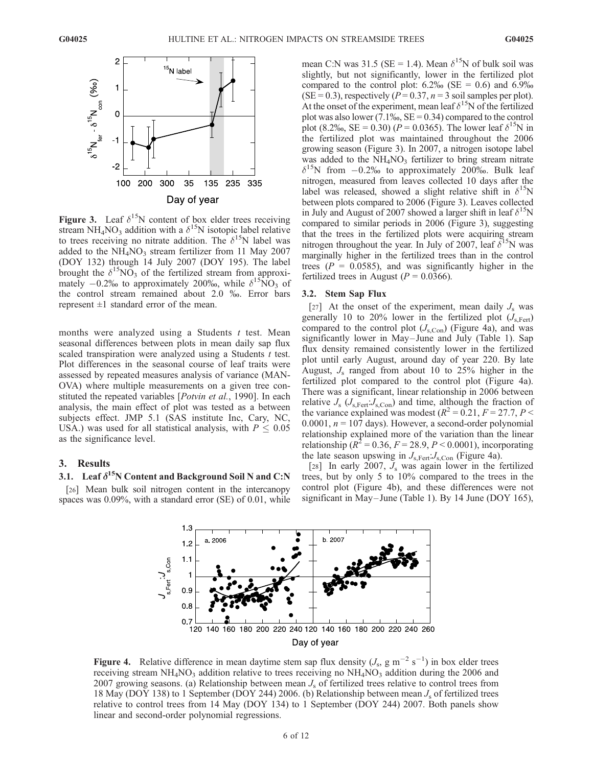

Figure 3. Leaf  $\delta^{15}N$  content of box elder trees receiving stream NH<sub>4</sub>NO<sub>3</sub> addition with a  $\delta^{15}$ N isotopic label relative to trees receiving no nitrate addition. The  $\delta^{15}N$  label was added to the  $NH<sub>4</sub>NO<sub>3</sub>$  stream fertilizer from 11 May 2007 (DOY 132) through 14 July 2007 (DOY 195). The label brought the  $\delta^{15}NO_3$  of the fertilized stream from approximately  $-0.2\%$  to approximately 200‰, while  $\delta^{15}NO_3$  of the control stream remained about 2.0 ‰. Error bars represent  $\pm 1$  standard error of the mean.

months were analyzed using a Students  $t$  test. Mean seasonal differences between plots in mean daily sap flux scaled transpiration were analyzed using a Students t test. Plot differences in the seasonal course of leaf traits were assessed by repeated measures analysis of variance (MAN-OVA) where multiple measurements on a given tree constituted the repeated variables [*Potvin et al.*, 1990]. In each analysis, the main effect of plot was tested as a between subjects effect. JMP 5.1 (SAS institute Inc, Cary, NC, USA.) was used for all statistical analysis, with  $P \leq 0.05$ as the significance level.

## 3. Results

# 3.1. Leaf  $\delta^{15}N$  Content and Background Soil N and C:N

[26] Mean bulk soil nitrogen content in the intercanopy spaces was 0.09%, with a standard error (SE) of 0.01, while mean C:N was 31.5 (SE = 1.4). Mean  $\delta^{15}$ N of bulk soil was slightly, but not significantly, lower in the fertilized plot compared to the control plot:  $6.2\%$  (SE = 0.6) and  $6.9\%$  $(SE = 0.3)$ , respectively  $(P = 0.37, n = 3$  soil samples per plot). At the onset of the experiment, mean leaf  $\delta^{15}N$  of the fertilized plot was also lower  $(7.1\%_{0}, \text{SE} = 0.34)$  compared to the control plot (8.2‰, SE = 0.30) ( $P = 0.0365$ ). The lower leaf  $\delta^{15}$ N in the fertilized plot was maintained throughout the 2006 growing season (Figure 3). In 2007, a nitrogen isotope label was added to the  $NH<sub>4</sub>NO<sub>3</sub>$  fertilizer to bring stream nitrate  $\delta^{15}$ N from  $-0.2\%$  to approximately 200%. Bulk leaf nitrogen, measured from leaves collected 10 days after the label was released, showed a slight relative shift in  $\delta^{15}N$ between plots compared to 2006 (Figure 3). Leaves collected in July and August of 2007 showed a larger shift in leaf  $\delta^{15}N$ compared to similar periods in 2006 (Figure 3), suggesting that the trees in the fertilized plots were acquiring stream nitrogen throughout the year. In July of 2007, leaf  $\delta^{15}N$  was marginally higher in the fertilized trees than in the control trees ( $P = 0.0585$ ), and was significantly higher in the fertilized trees in August ( $P = 0.0366$ ).

## 3.2. Stem Sap Flux

[27] At the onset of the experiment, mean daily  $J_s$  was generally 10 to 20% lower in the fertilized plot  $(J_{\rm s, Fert})$ compared to the control plot  $(J_{s,Con})$  (Figure 4a), and was significantly lower in May–June and July (Table 1). Sap flux density remained consistently lower in the fertilized plot until early August, around day of year 220. By late August,  $J_s$  ranged from about 10 to 25% higher in the fertilized plot compared to the control plot (Figure 4a). There was a significant, linear relationship in 2006 between relative  $J_s$  ( $J_{s, \text{Fert}}$ : $J_{s, \text{Con}}$ ) and time, although the fraction of the variance explained was modest ( $R^2 = 0.21$ ,  $F = 27.7$ ,  $P <$ 0.0001,  $n = 107$  days). However, a second-order polynomial relationship explained more of the variation than the linear relationship ( $R^2 = 0.36, F = 28.9, P < 0.0001$ ), incorporating the late season upswing in  $J_{\rm s, Fert}$ :  $J_{\rm s, Con}$  (Figure 4a).

[28] In early 2007,  $J_s$  was again lower in the fertilized trees, but by only 5 to 10% compared to the trees in the control plot (Figure 4b), and these differences were not significant in May–June (Table 1). By 14 June (DOY 165),



**Figure 4.** Relative difference in mean daytime stem sap flux density  $(J_s, g m^{-2} s^{-1})$  in box elder trees receiving stream  $NH_4NO_3$  addition relative to trees receiving no  $NH_4NO_3$  addition during the 2006 and 2007 growing seasons. (a) Relationship between mean  $J_s$  of fertilized trees relative to control trees from 18 May (DOY 138) to 1 September (DOY 244) 2006. (b) Relationship between mean  $J_s$  of fertilized trees relative to control trees from 14 May (DOY 134) to 1 September (DOY 244) 2007. Both panels show linear and second-order polynomial regressions.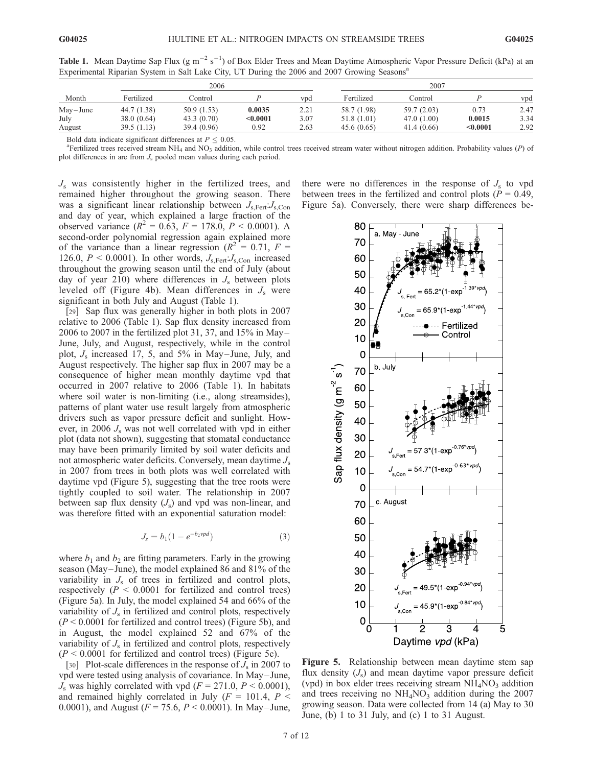Table 1. Mean Daytime Sap Flux (g m<sup>-2</sup> s<sup>-1</sup>) of Box Elder Trees and Mean Daytime Atmospheric Vapor Pressure Deficit (kPa) at an Experimental Riparian System in Salt Lake City, UT During the 2006 and 2007 Growing Seasons<sup>a</sup>

|             | 2006        |             |          |            | 2007        |             |          |      |
|-------------|-------------|-------------|----------|------------|-------------|-------------|----------|------|
| Month       | Fertilized  | Control     |          | <b>vpd</b> | Fertilized  | Control     |          | vpd  |
| $May$ -June | 44.7 (1.38) | 50.9(1.53)  | 0.0035   | 2.21       | 58.7 (1.98) | 59.7 (2.03) | 0.73     | 2.47 |
| July        | 38.0(0.64)  | 43.3(0.70)  | $0.0001$ | 3.07       | 51.8 (1.01) | 47.0(1.00)  | 0.0015   | 3.34 |
| August      | 39.5(1.13)  | 39.4 (0.96) | 0.92     | 2.63       | 45.6(0.65)  | 41.4 (0.66) | < 0.0001 | 2.92 |

Bold data indicate significant differences at  $P \leq 0.05$ .

 ${}^{\text{a}}$ Fertilized trees received stream NH<sub>4</sub> and NO<sub>3</sub> addition, while control trees received stream water without nitrogen addition. Probability values (P) of plot differences in are from  $J_s$  pooled mean values during each period.

 $J<sub>s</sub>$  was consistently higher in the fertilized trees, and remained higher throughout the growing season. There was a significant linear relationship between  $J_{\rm s, Fert}$ :  $J_{\rm s, Con}$ and day of year, which explained a large fraction of the observed variance ( $R^2 = 0.63$ ,  $F = 178.0$ ,  $P < 0.0001$ ). A second-order polynomial regression again explained more of the variance than a linear regression ( $R^2 = 0.71$ ,  $F =$ 126.0,  $P < 0.0001$ ). In other words,  $J_{\rm s, Fert}$ ;  $J_{\rm s, Con}$  increased throughout the growing season until the end of July (about day of year 210) where differences in  $J_s$  between plots leveled off (Figure 4b). Mean differences in  $J_s$  were significant in both July and August (Table 1).

[29] Sap flux was generally higher in both plots in 2007 relative to 2006 (Table 1). Sap flux density increased from 2006 to 2007 in the fertilized plot 31, 37, and  $15\%$  in May June, July, and August, respectively, while in the control plot,  $J_s$  increased 17, 5, and 5% in May–June, July, and August respectively. The higher sap flux in 2007 may be a consequence of higher mean monthly daytime vpd that occurred in 2007 relative to 2006 (Table 1). In habitats where soil water is non-limiting (i.e., along streamsides), patterns of plant water use result largely from atmospheric drivers such as vapor pressure deficit and sunlight. However, in 2006  $J_s$  was not well correlated with vpd in either plot (data not shown), suggesting that stomatal conductance may have been primarily limited by soil water deficits and not atmospheric water deficits. Conversely, mean daytime  $J_s$ in 2007 from trees in both plots was well correlated with daytime vpd (Figure 5), suggesting that the tree roots were tightly coupled to soil water. The relationship in 2007 between sap flux density  $(J_s)$  and vpd was non-linear, and was therefore fitted with an exponential saturation model:

$$
J_s = b_1 (1 - e^{-b_2 v p d}) \tag{3}
$$

where  $b_1$  and  $b_2$  are fitting parameters. Early in the growing season (May-June), the model explained 86 and 81% of the variability in  $J_s$  of trees in fertilized and control plots, respectively ( $P < 0.0001$  for fertilized and control trees) (Figure 5a). In July, the model explained 54 and 66% of the variability of  $J_s$  in fertilized and control plots, respectively  $(P < 0.0001$  for fertilized and control trees) (Figure 5b), and in August, the model explained 52 and 67% of the variability of  $J<sub>s</sub>$  in fertilized and control plots, respectively  $(P < 0.0001$  for fertilized and control trees) (Figure 5c).

[30] Plot-scale differences in the response of  $J_s$  in 2007 to vpd were tested using analysis of covariance. In May – June,  $J<sub>s</sub>$  was highly correlated with vpd ( $F = 271.0, P \le 0.0001$ ), and remained highly correlated in July ( $F = 101.4$ ,  $P <$ 0.0001), and August ( $F = 75.6$ ,  $P < 0.0001$ ). In May–June, there were no differences in the response of  $J_s$  to vpd between trees in the fertilized and control plots ( $P = 0.49$ , Figure 5a). Conversely, there were sharp differences be-



Figure 5. Relationship between mean daytime stem sap flux density  $(J_s)$  and mean daytime vapor pressure deficit (vpd) in box elder trees receiving stream  $NH<sub>4</sub>NO<sub>3</sub>$  addition and trees receiving no  $NH<sub>4</sub>NO<sub>3</sub>$  addition during the 2007 growing season. Data were collected from 14 (a) May to 30 June, (b) 1 to 31 July, and (c) 1 to 31 August.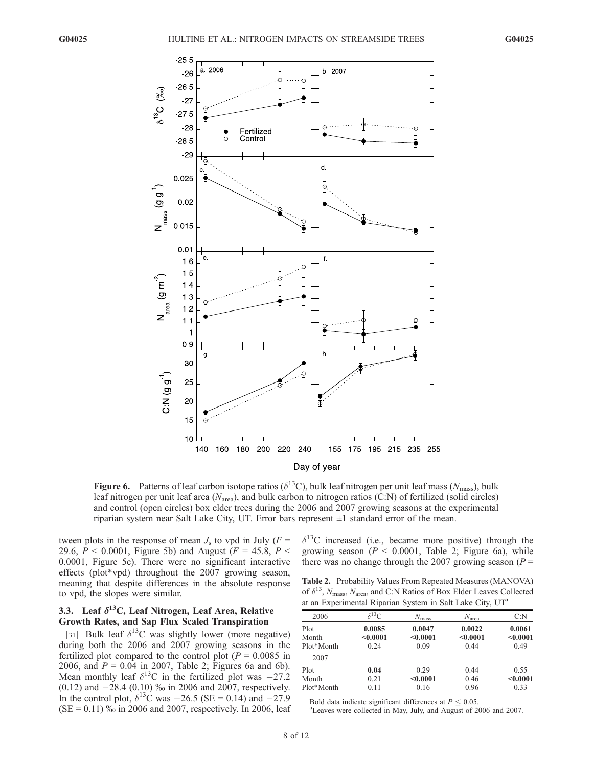

Figure 6. Patterns of leaf carbon isotope ratios ( $\delta^{13}$ C), bulk leaf nitrogen per unit leaf mass ( $N_{\text{mass}}$ ), bulk leaf nitrogen per unit leaf area ( $N_{\text{area}}$ ), and bulk carbon to nitrogen ratios (C:N) of fertilized (solid circles) and control (open circles) box elder trees during the 2006 and 2007 growing seasons at the experimental riparian system near Salt Lake City, UT. Error bars represent  $\pm 1$  standard error of the mean.

tween plots in the response of mean  $J_s$  to vpd in July ( $F =$ 29.6,  $P < 0.0001$ , Figure 5b) and August ( $F = 45.8$ ,  $P <$ 0.0001, Figure 5c). There were no significant interactive effects (plot\*vpd) throughout the 2007 growing season, meaning that despite differences in the absolute response to vpd, the slopes were similar.

# 3.3. Leaf  $\delta^{13}C$ , Leaf Nitrogen, Leaf Area, Relative Growth Rates, and Sap Flux Scaled Transpiration

[31] Bulk leaf  $\delta^{13}$ C was slightly lower (more negative) during both the 2006 and 2007 growing seasons in the fertilized plot compared to the control plot  $(P = 0.0085$  in 2006, and  $P = 0.04$  in 2007, Table 2; Figures 6a and 6b). Mean monthly leaf  $\delta^{13}$ C in the fertilized plot was -27.2  $(0.12)$  and  $-28.4$   $(0.10)$  ‰ in 2006 and 2007, respectively. In the control plot,  $\delta^{13}$ C was  $-26.5$  (SE = 0.14) and  $-27.9$  $(SE = 0.11)$  % in 2006 and 2007, respectively. In 2006, leaf  $\delta^{13}$ C increased (i.e., became more positive) through the growing season ( $P < 0.0001$ , Table 2; Figure 6a), while there was no change through the 2007 growing season ( $P =$ 

Table 2. Probability Values From Repeated Measures (MANOVA) of  $\delta^{13}$ , N<sub>mass</sub>, N<sub>area</sub>, and C:N Ratios of Box Elder Leaves Collected at an Experimental Riparian System in Salt Lake City, UT<sup>a</sup>

| 2006                        | $\delta^{13}C$             | $N_{\rm mass}$             | $N_{\rm area}$             | C:N                        |
|-----------------------------|----------------------------|----------------------------|----------------------------|----------------------------|
| Plot<br>Month<br>Plot*Month | 0.0085<br>< 0.0001<br>0.24 | 0.0047<br>< 0.0001<br>0.09 | 0.0022<br>< 0.0001<br>0.44 | 0.0061<br>< 0.0001<br>0.49 |
| 2007                        |                            |                            |                            |                            |
| Plot                        | 0.04                       | 0.29                       | 0.44                       | 0.55                       |
| Month                       | 0.21                       | < 0.0001                   | 0.46                       | < 0.0001                   |
| Plot*Month                  | 0.11                       | 0.16                       | 0.96                       | 0.33                       |

Bold data indicate significant differences at  $P \leq 0.05$ .

Leaves were collected in May, July, and August of 2006 and 2007.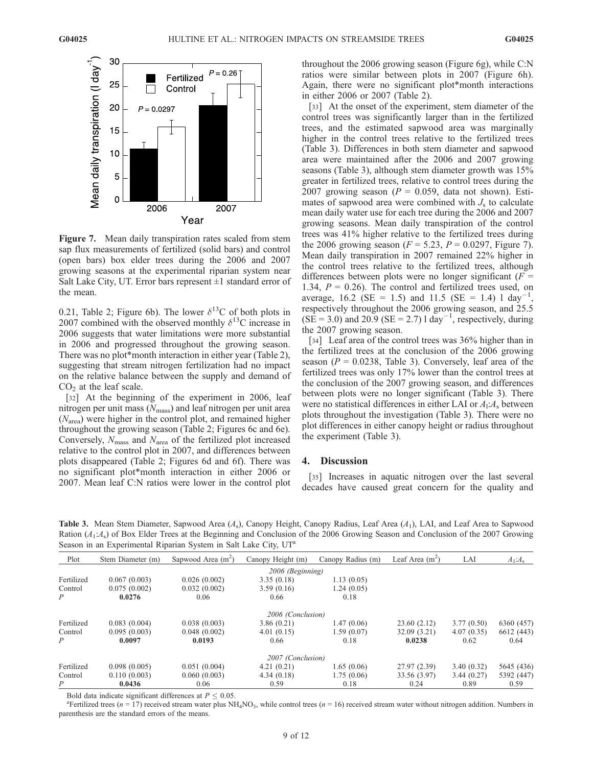

Figure 7. Mean daily transpiration rates scaled from stem sap flux measurements of fertilized (solid bars) and control (open bars) box elder trees during the 2006 and 2007 growing seasons at the experimental riparian system near Salt Lake City, UT. Error bars represent  $\pm 1$  standard error of the mean.

0.21, Table 2; Figure 6b). The lower  $\delta^{13}$ C of both plots in 2007 combined with the observed monthly  $\delta^{13}$ C increase in 2006 suggests that water limitations were more substantial in 2006 and progressed throughout the growing season. There was no plot\*month interaction in either year (Table 2), suggesting that stream nitrogen fertilization had no impact on the relative balance between the supply and demand of  $CO<sub>2</sub>$  at the leaf scale.

[32] At the beginning of the experiment in 2006, leaf nitrogen per unit mass  $(N<sub>mass</sub>)$  and leaf nitrogen per unit area  $(N<sub>area</sub>)$  were higher in the control plot, and remained higher throughout the growing season (Table 2; Figures 6c and 6e). Conversely,  $N_{\text{mass}}$  and  $N_{\text{area}}$  of the fertilized plot increased relative to the control plot in 2007, and differences between plots disappeared (Table 2; Figures 6d and 6f). There was no significant plot\*month interaction in either 2006 or 2007. Mean leaf C:N ratios were lower in the control plot

throughout the 2006 growing season (Figure 6g), while C:N ratios were similar between plots in 2007 (Figure 6h). Again, there were no significant plot\*month interactions in either 2006 or 2007 (Table 2).

[33] At the onset of the experiment, stem diameter of the control trees was significantly larger than in the fertilized trees, and the estimated sapwood area was marginally higher in the control trees relative to the fertilized trees (Table 3). Differences in both stem diameter and sapwood area were maintained after the 2006 and 2007 growing seasons (Table 3), although stem diameter growth was 15% greater in fertilized trees, relative to control trees during the 2007 growing season ( $P = 0.059$ , data not shown). Estimates of sapwood area were combined with  $J<sub>s</sub>$  to calculate mean daily water use for each tree during the 2006 and 2007 growing seasons. Mean daily transpiration of the control trees was 41% higher relative to the fertilized trees during the 2006 growing season ( $F = 5.23$ ,  $P = 0.0297$ , Figure 7). Mean daily transpiration in 2007 remained 22% higher in the control trees relative to the fertilized trees, although differences between plots were no longer significant ( $F =$ 1.34,  $P = 0.26$ ). The control and fertilized trees used, on average, 16.2 (SE = 1.5) and 11.5 (SE = 1.4) l day<sup>-1</sup> , respectively throughout the 2006 growing season, and 25.5  $(SE = 3.0)$  and 20.9  $(SE = 2.7)$  l day<sup>-1</sup>, respectively, during the 2007 growing season.

[34] Leaf area of the control trees was 36% higher than in the fertilized trees at the conclusion of the 2006 growing season ( $P = 0.0238$ , Table 3). Conversely, leaf area of the fertilized trees was only 17% lower than the control trees at the conclusion of the 2007 growing season, and differences between plots were no longer significant (Table 3). There were no statistical differences in either LAI or  $A<sub>1</sub>:A<sub>s</sub>$  between plots throughout the investigation (Table 3). There were no plot differences in either canopy height or radius throughout the experiment (Table 3).

# 4. Discussion

[35] Increases in aquatic nitrogen over the last several decades have caused great concern for the quality and

**Table 3.** Mean Stem Diameter, Sapwood Area  $(A_s)$ , Canopy Height, Canopy Radius, Leaf Area  $(A_1)$ , LAI, and Leaf Area to Sapwood Ration  $(A_1:A_8)$  of Box Elder Trees at the Beginning and Conclusion of the 2006 Growing Season and Conclusion of the 2007 Growing Season in an Experimental Riparian System in Salt Lake City, UT<sup>a</sup>

| Plot           | Stem Diameter (m) | Sapwood Area $(m^2)$ | Canopy Height (m) | Canopy Radius (m) | Leaf Area $(m^2)$ | LAI        | $A_1:A_s$  |
|----------------|-------------------|----------------------|-------------------|-------------------|-------------------|------------|------------|
|                |                   |                      | 2006 (Beginning)  |                   |                   |            |            |
| Fertilized     | 0.067(0.003)      | 0.026(0.002)         | 3.35(0.18)        | 1.13(0.05)        |                   |            |            |
| Control        | 0.075(0.002)      | 0.032(0.002)         | 3.59(0.16)        | 1.24(0.05)        |                   |            |            |
| Р              | 0.0276            | 0.06                 | 0.66              | 0.18              |                   |            |            |
|                |                   |                      | 2006 (Conclusion) |                   |                   |            |            |
| Fertilized     | 0.083(0.004)      | 0.038(0.003)         | 3.86(0.21)        | 1.47(0.06)        | 23.60(2.12)       | 3.77(0.50) | 6360 (457) |
| Control        | 0.095(0.003)      | 0.048(0.002)         | 4.01(0.15)        | 1.59(0.07)        | 32.09(3.21)       | 4.07(0.35) | 6612 (443) |
| $\overline{P}$ | 0.0097            | 0.0193               | 0.66              | 0.18              | 0.0238            | 0.62       | 0.64       |
|                |                   |                      | 2007 (Conclusion) |                   |                   |            |            |
| Fertilized     | 0.098(0.005)      | 0.051(0.004)         | 4.21(0.21)        | 1.65(0.06)        | 27.97(2.39)       | 3.40(0.32) | 5645 (436) |
| Control        | 0.110(0.003)      | 0.060(0.003)         | 4.34(0.18)        | 1.75(0.06)        | 33.56 (3.97)      | 3.44(0.27) | 5392 (447) |
| P              | 0.0436            | 0.06                 | 0.59              | 0.18              | 0.24              | 0.89       | 0.59       |

Bold data indicate significant differences at  $P \leq 0.05$ .

<sup>a</sup>Fertilized trees (n = 17) received stream water plus NH<sub>4</sub>NO<sub>3</sub>, while control trees (n = 16) received stream water without nitrogen addition. Numbers in parenthesis are the standard errors of the means.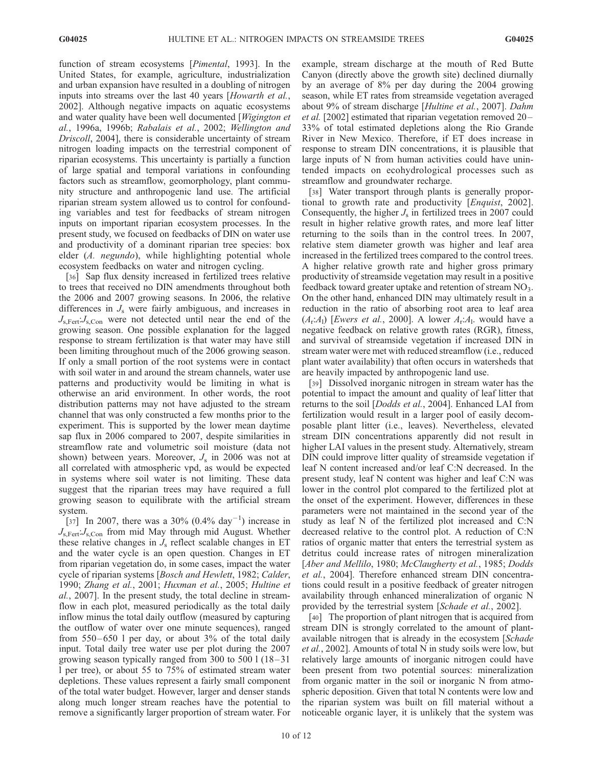function of stream ecosystems [Pimental, 1993]. In the United States, for example, agriculture, industrialization and urban expansion have resulted in a doubling of nitrogen inputs into streams over the last 40 years [Howarth et al., 2002]. Although negative impacts on aquatic ecosystems and water quality have been well documented [Wigington et al., 1996a, 1996b; Rabalais et al., 2002; Wellington and Driscoll, 2004], there is considerable uncertainty of stream nitrogen loading impacts on the terrestrial component of riparian ecosystems. This uncertainty is partially a function of large spatial and temporal variations in confounding factors such as streamflow, geomorphology, plant community structure and anthropogenic land use. The artificial riparian stream system allowed us to control for confounding variables and test for feedbacks of stream nitrogen inputs on important riparian ecosystem processes. In the present study, we focused on feedbacks of DIN on water use and productivity of a dominant riparian tree species: box elder (A. negundo), while highlighting potential whole ecosystem feedbacks on water and nitrogen cycling.

[36] Sap flux density increased in fertilized trees relative to trees that received no DIN amendments throughout both the 2006 and 2007 growing seasons. In 2006, the relative differences in  $J<sub>s</sub>$  were fairly ambiguous, and increases in  $J_{\rm s, Fert}$ : $J_{\rm s, Con}$  were not detected until near the end of the growing season. One possible explanation for the lagged response to stream fertilization is that water may have still been limiting throughout much of the 2006 growing season. If only a small portion of the root systems were in contact with soil water in and around the stream channels, water use patterns and productivity would be limiting in what is otherwise an arid environment. In other words, the root distribution patterns may not have adjusted to the stream channel that was only constructed a few months prior to the experiment. This is supported by the lower mean daytime sap flux in 2006 compared to 2007, despite similarities in streamflow rate and volumetric soil moisture (data not shown) between years. Moreover,  $J_s$  in 2006 was not at all correlated with atmospheric vpd, as would be expected in systems where soil water is not limiting. These data suggest that the riparian trees may have required a full growing season to equilibrate with the artificial stream system.

[37] In 2007, there was a 30%  $(0.4\% \text{ day}^{-1})$  increase in  $J_{\rm s.Fert}$ : $J_{\rm s.Con}$  from mid May through mid August. Whether these relative changes in  $J_s$  reflect scalable changes in ET and the water cycle is an open question. Changes in ET from riparian vegetation do, in some cases, impact the water cycle of riparian systems [Bosch and Hewlett, 1982; Calder, 1990; Zhang et al., 2001; Huxman et al., 2005; Hultine et al., 2007]. In the present study, the total decline in streamflow in each plot, measured periodically as the total daily inflow minus the total daily outflow (measured by capturing the outflow of water over one minute sequences), ranged from  $550-650$  l per day, or about  $3\%$  of the total daily input. Total daily tree water use per plot during the 2007 growing season typically ranged from 300 to 500  $1(18-31)$ l per tree), or about 55 to 75% of estimated stream water depletions. These values represent a fairly small component of the total water budget. However, larger and denser stands along much longer stream reaches have the potential to remove a significantly larger proportion of stream water. For example, stream discharge at the mouth of Red Butte Canyon (directly above the growth site) declined diurnally by an average of 8% per day during the 2004 growing season, while ET rates from streamside vegetation averaged about 9% of stream discharge [Hultine et al., 2007]. Dahm et al. [2002] estimated that riparian vegetation removed 20– 33% of total estimated depletions along the Rio Grande River in New Mexico. Therefore, if ET does increase in response to stream DIN concentrations, it is plausible that large inputs of N from human activities could have unintended impacts on ecohydrological processes such as streamflow and groundwater recharge.

[38] Water transport through plants is generally proportional to growth rate and productivity [Enquist, 2002]. Consequently, the higher  $J_s$  in fertilized trees in 2007 could result in higher relative growth rates, and more leaf litter returning to the soils than in the control trees. In 2007, relative stem diameter growth was higher and leaf area increased in the fertilized trees compared to the control trees. A higher relative growth rate and higher gross primary productivity of streamside vegetation may result in a positive feedback toward greater uptake and retention of stream NO<sub>3</sub>. On the other hand, enhanced DIN may ultimately result in a reduction in the ratio of absorbing root area to leaf area  $(A_r:A_l)$  [*Ewers et al.*, 2000]. A lower  $A_r:A_l$ . would have a negative feedback on relative growth rates (RGR), fitness, and survival of streamside vegetation if increased DIN in stream water were met with reduced streamflow (i.e., reduced plant water availability) that often occurs in watersheds that are heavily impacted by anthropogenic land use.

[39] Dissolved inorganic nitrogen in stream water has the potential to impact the amount and quality of leaf litter that returns to the soil [Dodds et al., 2004]. Enhanced LAI from fertilization would result in a larger pool of easily decomposable plant litter (i.e., leaves). Nevertheless, elevated stream DIN concentrations apparently did not result in higher LAI values in the present study. Alternatively, stream DIN could improve litter quality of streamside vegetation if leaf N content increased and/or leaf C:N decreased. In the present study, leaf N content was higher and leaf C:N was lower in the control plot compared to the fertilized plot at the onset of the experiment. However, differences in these parameters were not maintained in the second year of the study as leaf N of the fertilized plot increased and C:N decreased relative to the control plot. A reduction of C:N ratios of organic matter that enters the terrestrial system as detritus could increase rates of nitrogen mineralization [Aber and Mellilo, 1980; McClaugherty et al., 1985; Dodds et al., 2004]. Therefore enhanced stream DIN concentrations could result in a positive feedback of greater nitrogen availability through enhanced mineralization of organic N provided by the terrestrial system [Schade et al., 2002].

[40] The proportion of plant nitrogen that is acquired from stream DIN is strongly correlated to the amount of plantavailable nitrogen that is already in the ecosystem [Schade et al., 2002]. Amounts of total N in study soils were low, but relatively large amounts of inorganic nitrogen could have been present from two potential sources: mineralization from organic matter in the soil or inorganic N from atmospheric deposition. Given that total N contents were low and the riparian system was built on fill material without a noticeable organic layer, it is unlikely that the system was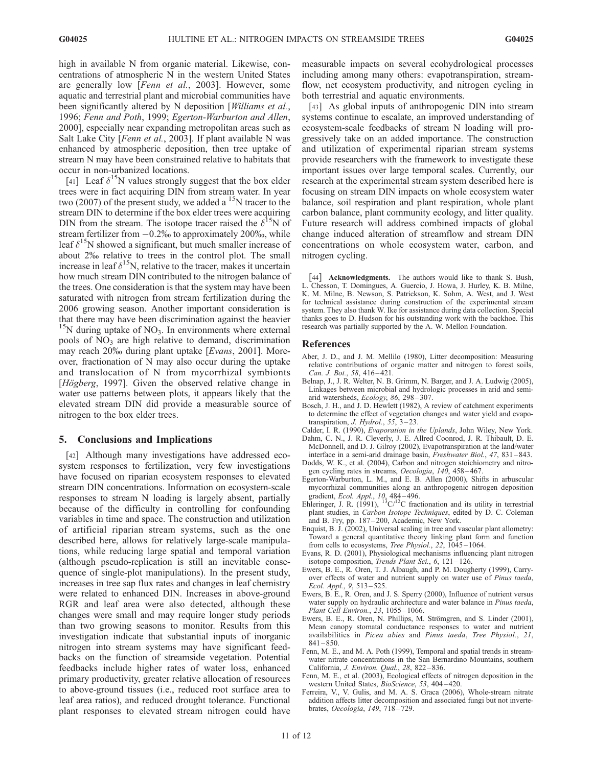high in available N from organic material. Likewise, concentrations of atmospheric N in the western United States are generally low [Fenn et al., 2003]. However, some aquatic and terrestrial plant and microbial communities have been significantly altered by N deposition [*Williams et al.*, 1996; Fenn and Poth, 1999; Egerton-Warburton and Allen, 2000], especially near expanding metropolitan areas such as Salt Lake City [Fenn et al., 2003]. If plant available N was enhanced by atmospheric deposition, then tree uptake of stream N may have been constrained relative to habitats that occur in non-urbanized locations.

[41] Leaf  $\delta^{15}N$  values strongly suggest that the box elder trees were in fact acquiring DIN from stream water. In year two (2007) of the present study, we added a  $^{15}$ N tracer to the stream DIN to determine if the box elder trees were acquiring DIN from the stream. The isotope tracer raised the  $\delta^{15}N$  of stream fertilizer from  $-0.2%$  to approximately 200‰, while leaf  $\delta^{15}N$  showed a significant, but much smaller increase of about 2% relative to trees in the control plot. The small increase in leaf  $\delta^{15}N$ , relative to the tracer, makes it uncertain how much stream DIN contributed to the nitrogen balance of the trees. One consideration is that the system may have been saturated with nitrogen from stream fertilization during the 2006 growing season. Another important consideration is that there may have been discrimination against the heavier  $15N$  during uptake of NO<sub>3</sub>. In environments where external pools of  $NO<sub>3</sub>$  are high relative to demand, discrimination may reach 20% during plant uptake [Evans, 2001]. Moreover, fractionation of N may also occur during the uptake and translocation of N from mycorrhizal symbionts [Högberg, 1997]. Given the observed relative change in water use patterns between plots, it appears likely that the elevated stream DIN did provide a measurable source of nitrogen to the box elder trees.

## 5. Conclusions and Implications

[42] Although many investigations have addressed ecosystem responses to fertilization, very few investigations have focused on riparian ecosystem responses to elevated stream DIN concentrations. Information on ecosystem-scale responses to stream N loading is largely absent, partially because of the difficulty in controlling for confounding variables in time and space. The construction and utilization of artificial riparian stream systems, such as the one described here, allows for relatively large-scale manipulations, while reducing large spatial and temporal variation (although pseudo-replication is still an inevitable consequence of single-plot manipulations). In the present study, increases in tree sap flux rates and changes in leaf chemistry were related to enhanced DIN. Increases in above-ground RGR and leaf area were also detected, although these changes were small and may require longer study periods than two growing seasons to monitor. Results from this investigation indicate that substantial inputs of inorganic nitrogen into stream systems may have significant feedbacks on the function of streamside vegetation. Potential feedbacks include higher rates of water loss, enhanced primary productivity, greater relative allocation of resources to above-ground tissues (i.e., reduced root surface area to leaf area ratios), and reduced drought tolerance. Functional plant responses to elevated stream nitrogen could have

measurable impacts on several ecohydrological processes including among many others: evapotranspiration, streamflow, net ecosystem productivity, and nitrogen cycling in both terrestrial and aquatic environments.

[43] As global inputs of anthropogenic DIN into stream systems continue to escalate, an improved understanding of ecosystem-scale feedbacks of stream N loading will progressively take on an added importance. The construction and utilization of experimental riparian stream systems provide researchers with the framework to investigate these important issues over large temporal scales. Currently, our research at the experimental stream system described here is focusing on stream DIN impacts on whole ecosystem water balance, soil respiration and plant respiration, whole plant carbon balance, plant community ecology, and litter quality. Future research will address combined impacts of global change induced alteration of streamflow and stream DIN concentrations on whole ecosystem water, carbon, and nitrogen cycling.

[44] **Acknowledgments.** The authors would like to thank S. Bush, L. Chesson, T. Domingues, A. Guercio, J. Howa, J. Hurley, K. B. Milne, K. M. Milne, B. Newson, S. Patrickson, K. Sohm, A. West, and J. West for technical assistance during construction of the experimental stream system. They also thank W. Ike for assistance during data collection. Special thanks goes to D. Hudson for his outstanding work with the backhoe. This research was partially supported by the A. W. Mellon Foundation.

#### References

- Aber, J. D., and J. M. Mellilo (1980), Litter decomposition: Measuring relative contributions of organic matter and nitrogen to forest soils, Can. J. Bot., 58, 416-421.
- Belnap, J., J. R. Welter, N. B. Grimm, N. Barger, and J. A. Ludwig (2005), Linkages between microbial and hydrologic processes in arid and semiarid watersheds, Ecology, 86, 298-307.
- Bosch, J. H., and J. D. Hewlett (1982), A review of catchment experiments to determine the effect of vegetation changes and water yield and evapotranspiration, *J. Hydrol.*,  $55, 3-23$ .
- Calder, I. R. (1990), Evaporation in the Uplands, John Wiley, New York. Dahm, C. N., J. R. Cleverly, J. E. Allred Coonrod, J. R. Thibault, D. E.
- McDonnell, and D. J. Gilroy (2002), Evapotranspiration at the land/water interface in a semi-arid drainage basin, Freshwater Biol., 47, 831 – 843.
- Dodds, W. K., et al. (2004), Carbon and nitrogen stoichiometry and nitrogen cycling rates in streams, Oecologia, 140, 458-467.
- Egerton-Warburton, L. M., and E. B. Allen (2000), Shifts in arbuscular mycorrhizal communities along an anthropogenic nitrogen deposition
- gradient, *Ecol. Appl.*, 10, 484–496.<br>Ehleringer, J. R. (1991), <sup>13</sup>C/<sup>12</sup>C fractionation and its utility in terrestrial plant studies, in Carbon Isotope Techniques, edited by D. C. Coleman and B. Fry, pp. 187 – 200, Academic, New York.
- Enquist, B. J. (2002), Universal scaling in tree and vascular plant allometry: Toward a general quantitative theory linking plant form and function from cells to ecosystems, *Tree Physiol.*, 22, 1045–1064.
- Evans, R. D. (2001), Physiological mechanisms influencing plant nitrogen isotope composition, Trends Plant Sci., 6, 121 – 126.
- Ewers, B. E., R. Oren, T. J. Albaugh, and P. M. Dougherty (1999), Carryover effects of water and nutrient supply on water use of Pinus taeda, Ecol. Appl., 9, 513 – 525.
- Ewers, B. E., R. Oren, and J. S. Sperry (2000), Influence of nutrient versus water supply on hydraulic architecture and water balance in Pinus taeda, Plant Cell Environ., 23, 1055 – 1066.
- Ewers, B. E., R. Oren, N. Phillips, M. Strömgren, and S. Linder (2001), Mean canopy stomatal conductance responses to water and nutrient availabilities in Picea abies and Pinus taeda, Tree Physiol., 21,  $841 - 850.$
- Fenn, M. E., and M. A. Poth (1999), Temporal and spatial trends in streamwater nitrate concentrations in the San Bernardino Mountains, southern California, J. Environ. Qual., 28, 822 – 836.
- Fenn, M. E., et al. (2003), Ecological effects of nitrogen deposition in the western United States, BioScience, 53, 404 – 420.
- Ferreira, V., V. Gulis, and M. A. S. Graca (2006), Whole-stream nitrate addition affects litter decomposition and associated fungi but not invertebrates, Oecologia, 149, 718 – 729.